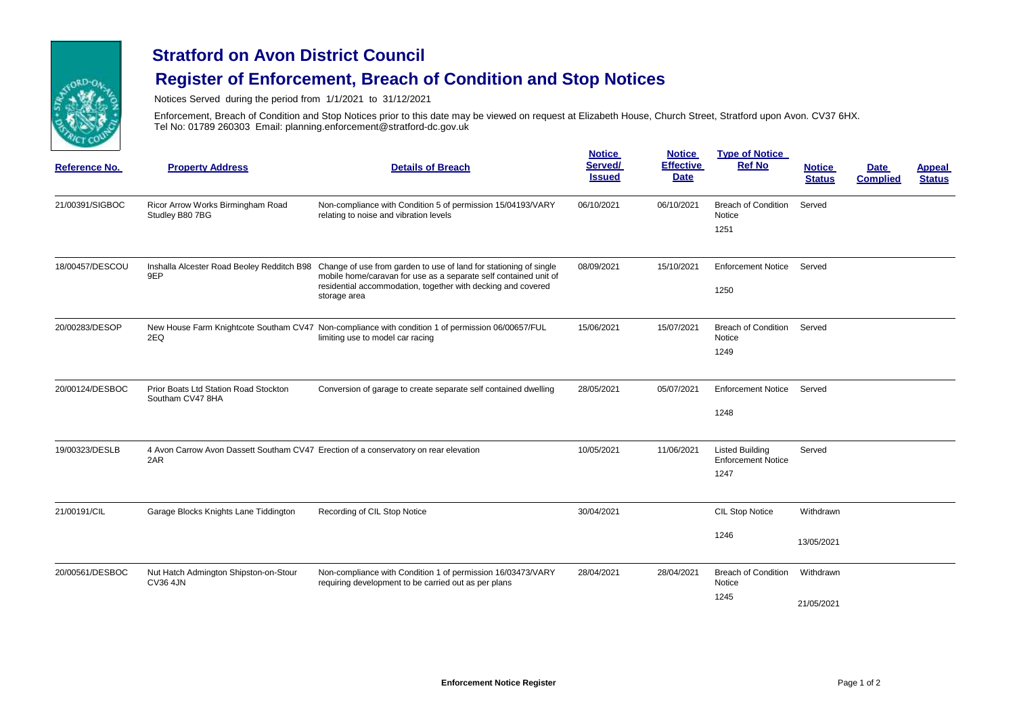

## **Stratford on Avon District Council**

## **Register of Enforcement, Breach of Condition and Stop Notices**

Notices Served during the period from 1/1/2021 to 31/12/2021

Enforcement, Breach of Condition and Stop Notices prior to this date may be viewed on request at Elizabeth House, Church Street, Stratford upon Avon. CV37 6HX. Tel No: 01789 260303 Email: planning.enforcement@stratford-dc.gov.uk

| <b>Reference No.</b> | <b>Property Address</b>                                   | <b>Details of Breach</b>                                                                                                                                                                                                                                         | <b>Notice</b><br>Served/<br><b>Issued</b> | <b>Notice</b><br><b>Effective</b><br><b>Date</b> | <b>Type of Notice</b><br><b>Ref No</b>                      | <b>Notice</b><br><b>Status</b> | <b>Date</b><br><b>Complied</b> | <b>Appeal</b><br><b>Status</b> |
|----------------------|-----------------------------------------------------------|------------------------------------------------------------------------------------------------------------------------------------------------------------------------------------------------------------------------------------------------------------------|-------------------------------------------|--------------------------------------------------|-------------------------------------------------------------|--------------------------------|--------------------------------|--------------------------------|
| 21/00391/SIGBOC      | Ricor Arrow Works Birmingham Road<br>Studley B80 7BG      | Non-compliance with Condition 5 of permission 15/04193/VARY<br>relating to noise and vibration levels                                                                                                                                                            | 06/10/2021                                | 06/10/2021                                       | <b>Breach of Condition</b><br>Notice<br>1251                | Served                         |                                |                                |
| 18/00457/DESCOU      | 9EP                                                       | Inshalla Alcester Road Beoley Redditch B98 Change of use from garden to use of land for stationing of single<br>mobile home/caravan for use as a separate self contained unit of<br>residential accommodation, together with decking and covered<br>storage area | 08/09/2021                                | 15/10/2021                                       | <b>Enforcement Notice</b><br>1250                           | Served                         |                                |                                |
| 20/00283/DESOP       | 2EQ                                                       | New House Farm Knightcote Southam CV47 Non-compliance with condition 1 of permission 06/00657/FUL<br>limiting use to model car racing                                                                                                                            | 15/06/2021                                | 15/07/2021                                       | <b>Breach of Condition</b><br><b>Notice</b><br>1249         | Served                         |                                |                                |
| 20/00124/DESBOC      | Prior Boats Ltd Station Road Stockton<br>Southam CV47 8HA | Conversion of garage to create separate self contained dwelling                                                                                                                                                                                                  | 28/05/2021                                | 05/07/2021                                       | <b>Enforcement Notice</b><br>1248                           | Served                         |                                |                                |
| 19/00323/DESLB       | 2AR                                                       | 4 Avon Carrow Avon Dassett Southam CV47 Erection of a conservatory on rear elevation                                                                                                                                                                             | 10/05/2021                                | 11/06/2021                                       | <b>Listed Building</b><br><b>Enforcement Notice</b><br>1247 | Served                         |                                |                                |
| 21/00191/CIL         | Garage Blocks Knights Lane Tiddington                     | Recording of CIL Stop Notice                                                                                                                                                                                                                                     | 30/04/2021                                |                                                  | CIL Stop Notice                                             | Withdrawn                      |                                |                                |
|                      |                                                           |                                                                                                                                                                                                                                                                  |                                           |                                                  | 1246                                                        | 13/05/2021                     |                                |                                |
| 20/00561/DESBOC      | Nut Hatch Admington Shipston-on-Stour<br><b>CV36 4JN</b>  | Non-compliance with Condition 1 of permission 16/03473/VARY<br>requiring development to be carried out as per plans                                                                                                                                              | 28/04/2021                                | 28/04/2021                                       | <b>Breach of Condition</b><br>Notice                        | Withdrawn                      |                                |                                |
|                      |                                                           |                                                                                                                                                                                                                                                                  |                                           |                                                  | 1245                                                        | 21/05/2021                     |                                |                                |